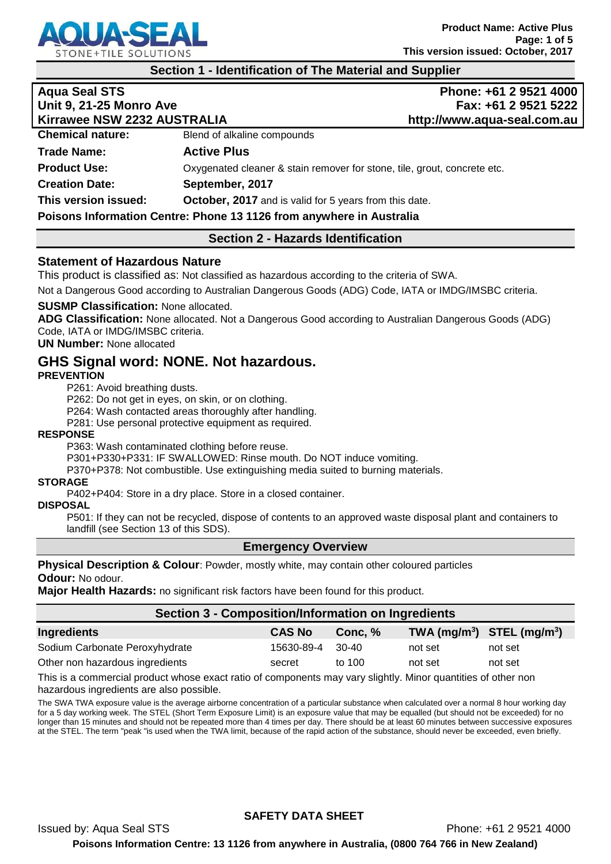

## **Section 1 - Identification of The Material and Supplier**

| Kirrawee NSW 2232 AUSTRALIA |
|-----------------------------|
| Blend of alkaline com       |
|                             |

**Aqua Seal STS Phone: +61 2 9521 4000 Unit 9, 21-25 Monro Ave Fax: +61 2 9521 5222 Kirrawee NSW 2232 AUSTRALIA http://www.aqua-seal.com.au**

| <b>Chemical nature:</b>                                              | Blend of alkaline compounds                                              |  |
|----------------------------------------------------------------------|--------------------------------------------------------------------------|--|
| Trade Name:                                                          | <b>Active Plus</b>                                                       |  |
| <b>Product Use:</b>                                                  | Oxygenated cleaner & stain remover for stone, tile, grout, concrete etc. |  |
| <b>Creation Date:</b>                                                | September, 2017                                                          |  |
| This version issued:                                                 | <b>October, 2017</b> and is valid for 5 years from this date.            |  |
| Poisons Information Centre: Phone 13 1126 from anywhere in Australia |                                                                          |  |

## **Section 2 - Hazards Identification**

#### **Statement of Hazardous Nature**

This product is classified as: Not classified as hazardous according to the criteria of SWA.

Not a Dangerous Good according to Australian Dangerous Goods (ADG) Code, IATA or IMDG/IMSBC criteria.

#### **SUSMP Classification:** None allocated.

**ADG Classification:** None allocated. Not a Dangerous Good according to Australian Dangerous Goods (ADG) Code, IATA or IMDG/IMSBC criteria.

#### **UN Number:** None allocated

# **GHS Signal word: NONE. Not hazardous.**

## **PREVENTION**

P261: Avoid breathing dusts.

P262: Do not get in eyes, on skin, or on clothing.

P264: Wash contacted areas thoroughly after handling.

P281: Use personal protective equipment as required.

#### **RESPONSE**

P363: Wash contaminated clothing before reuse.

P301+P330+P331: IF SWALLOWED: Rinse mouth. Do NOT induce vomiting.

P370+P378: Not combustible. Use extinguishing media suited to burning materials.

#### **STORAGE**

P402+P404: Store in a dry place. Store in a closed container.

#### **DISPOSAL**

P501: If they can not be recycled, dispose of contents to an approved waste disposal plant and containers to landfill (see Section 13 of this SDS).

#### **Emergency Overview**

#### **Physical Description & Colour**: Powder, mostly white, may contain other coloured particles **Odour:** No odour.

**Major Health Hazards:** no significant risk factors have been found for this product.

| <b>Section 3 - Composition/Information on Ingredients</b> |               |         |         |                                |
|-----------------------------------------------------------|---------------|---------|---------|--------------------------------|
| <b>Ingredients</b>                                        | <b>CAS No</b> | Conc. % |         | TWA $(mg/m^3)$ STEL $(mg/m^3)$ |
| Sodium Carbonate Peroxyhydrate                            | 15630-89-4    | 30-40   | not set | not set                        |
| Other non hazardous ingredients                           | secret        | to 100  | not set | not set                        |

This is a commercial product whose exact ratio of components may vary slightly. Minor quantities of other non hazardous ingredients are also possible.

The SWA TWA exposure value is the average airborne concentration of a particular substance when calculated over a normal 8 hour working day for a 5 day working week. The STEL (Short Term Exposure Limit) is an exposure value that may be equalled (but should not be exceeded) for no longer than 15 minutes and should not be repeated more than 4 times per day. There should be at least 60 minutes between successive exposures at the STEL. The term "peak "is used when the TWA limit, because of the rapid action of the substance, should never be exceeded, even briefly.

Issued by: Aqua Seal STS Phone: +61 2 9521 4000

**Poisons Information Centre: 13 1126 from anywhere in Australia, (0800 764 766 in New Zealand)**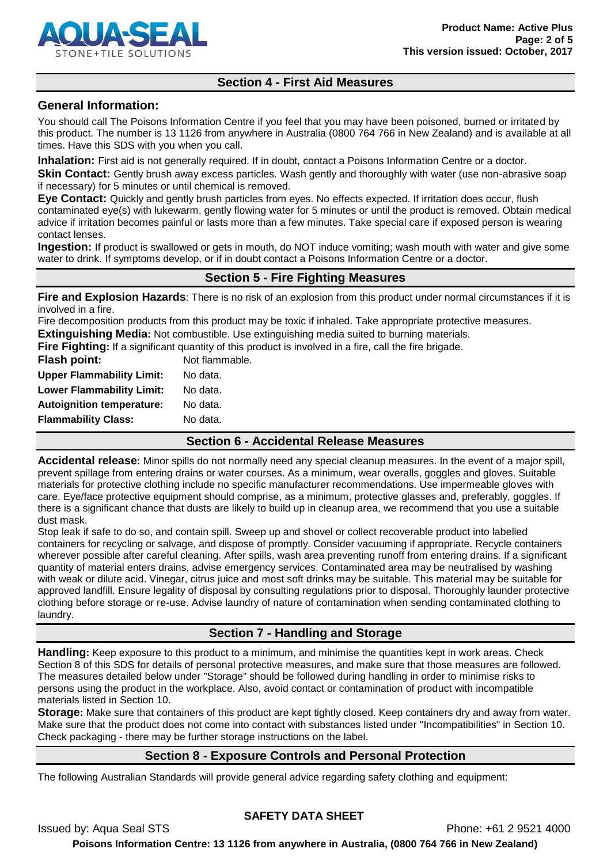

## **Section 4 - First Aid Measures**

## **General Information:**

You should call The Poisons Information Centre if you feel that you may have been poisoned, burned or irritated by this product. The number is 13 1126 from anywhere in Australia (0800 764 766 in New Zealand) and is available at all times. Have this SDS with you when you call.

**Inhalation:** First aid is not generally required. If in doubt, contact a Poisons Information Centre or a doctor. **Skin Contact:** Gently brush away excess particles. Wash gently and thoroughly with water (use non-abrasive soap if necessary) for 5 minutes or until chemical is removed.

**Eye Contact:** Quickly and gently brush particles from eyes. No effects expected. If irritation does occur, flush contaminated eye(s) with lukewarm, gently flowing water for 5 minutes or until the product is removed. Obtain medical advice if irritation becomes painful or lasts more than a few minutes. Take special care if exposed person is wearing contact lenses.

**Ingestion:** If product is swallowed or gets in mouth, do NOT induce vomiting; wash mouth with water and give some water to drink. If symptoms develop, or if in doubt contact a Poisons Information Centre or a doctor.

## **Section 5 - Fire Fighting Measures**

**Fire and Explosion Hazards**: There is no risk of an explosion from this product under normal circumstances if it is involved in a fire.

Fire decomposition products from this product may be toxic if inhaled. Take appropriate protective measures. **Extinguishing Media:** Not combustible. Use extinguishing media suited to burning materials.

**Fire Fighting:** If a significant quantity of this product is involved in a fire, call the fire brigade.

| <b>Flash point:</b>              | Not flammable. |
|----------------------------------|----------------|
| <b>Upper Flammability Limit:</b> | No data.       |
| <b>Lower Flammability Limit:</b> | No data.       |
| <b>Autoignition temperature:</b> | No data.       |
| <b>Flammability Class:</b>       | No data.       |

## **Section 6 - Accidental Release Measures**

**Accidental release:** Minor spills do not normally need any special cleanup measures. In the event of a major spill, prevent spillage from entering drains or water courses. As a minimum, wear overalls, goggles and gloves. Suitable materials for protective clothing include no specific manufacturer recommendations. Use impermeable gloves with care. Eye/face protective equipment should comprise, as a minimum, protective glasses and, preferably, goggles. If there is a significant chance that dusts are likely to build up in cleanup area, we recommend that you use a suitable dust mask.

Stop leak if safe to do so, and contain spill. Sweep up and shovel or collect recoverable product into labelled containers for recycling or salvage, and dispose of promptly. Consider vacuuming if appropriate. Recycle containers wherever possible after careful cleaning. After spills, wash area preventing runoff from entering drains. If a significant quantity of material enters drains, advise emergency services. Contaminated area may be neutralised by washing with weak or dilute acid. Vinegar, citrus juice and most soft drinks may be suitable. This material may be suitable for approved landfill. Ensure legality of disposal by consulting regulations prior to disposal. Thoroughly launder protective clothing before storage or re-use. Advise laundry of nature of contamination when sending contaminated clothing to laundry.

# **Section 7 - Handling and Storage**

**Handling:** Keep exposure to this product to a minimum, and minimise the quantities kept in work areas. Check Section 8 of this SDS for details of personal protective measures, and make sure that those measures are followed. The measures detailed below under "Storage" should be followed during handling in order to minimise risks to persons using the product in the workplace. Also, avoid contact or contamination of product with incompatible materials listed in Section 10.

**Storage:** Make sure that containers of this product are kept tightly closed. Keep containers dry and away from water. Make sure that the product does not come into contact with substances listed under "Incompatibilities" in Section 10. Check packaging - there may be further storage instructions on the label.

## **Section 8 - Exposure Controls and Personal Protection**

The following Australian Standards will provide general advice regarding safety clothing and equipment:

# **SAFETY DATA SHEET**

Issued by: Aqua Seal STS Phone: +61 2 9521 4000 **Poisons Information Centre: 13 1126 from anywhere in Australia, (0800 764 766 in New Zealand)**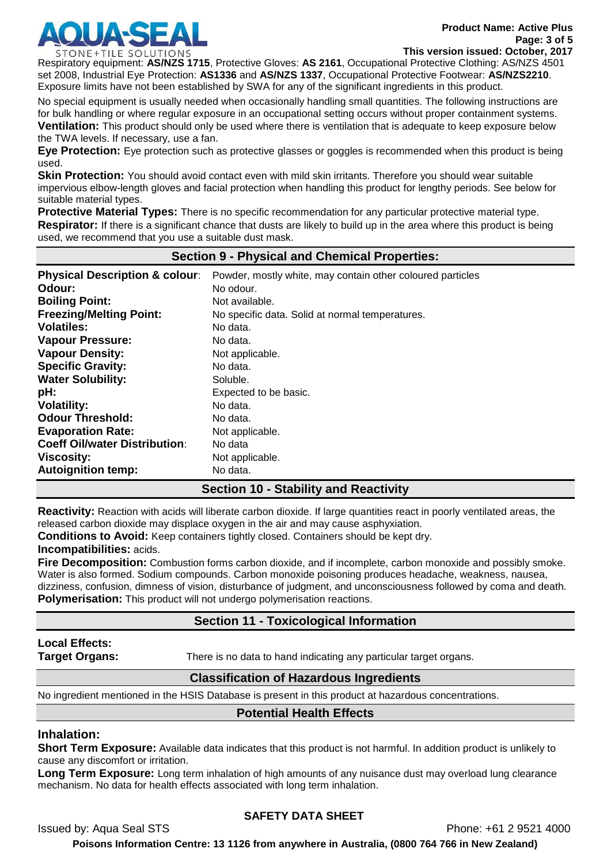

Respiratory equipment: **AS/NZS 1715**, Protective Gloves: **AS 2161**, Occupational Protective Clothing: AS/NZS 4501 set 2008, Industrial Eye Protection: **AS1336** and **AS/NZS 1337**, Occupational Protective Footwear: **AS/NZS2210**. Exposure limits have not been established by SWA for any of the significant ingredients in this product.

No special equipment is usually needed when occasionally handling small quantities. The following instructions are for bulk handling or where regular exposure in an occupational setting occurs without proper containment systems. **Ventilation:** This product should only be used where there is ventilation that is adequate to keep exposure below the TWA levels. If necessary, use a fan.

**Eye Protection:** Eye protection such as protective glasses or goggles is recommended when this product is being used.

**Skin Protection:** You should avoid contact even with mild skin irritants. Therefore you should wear suitable impervious elbow-length gloves and facial protection when handling this product for lengthy periods. See below for suitable material types.

**Protective Material Types:** There is no specific recommendation for any particular protective material type. **Respirator:** If there is a significant chance that dusts are likely to build up in the area where this product is being used, we recommend that you use a suitable dust mask.

## **Section 9 - Physical and Chemical Properties:**

| <b>Physical Description &amp; colour:</b><br>Odour: | Powder, mostly white, may contain other coloured particles<br>No odour. |
|-----------------------------------------------------|-------------------------------------------------------------------------|
| <b>Boiling Point:</b>                               | Not available.                                                          |
| <b>Freezing/Melting Point:</b>                      | No specific data. Solid at normal temperatures.                         |
| <b>Volatiles:</b>                                   | No data.                                                                |
| <b>Vapour Pressure:</b>                             | No data.                                                                |
| <b>Vapour Density:</b>                              | Not applicable.                                                         |
| <b>Specific Gravity:</b>                            | No data.                                                                |
| <b>Water Solubility:</b>                            | Soluble.                                                                |
| pH:                                                 | Expected to be basic.                                                   |
| <b>Volatility:</b>                                  | No data.                                                                |
| <b>Odour Threshold:</b>                             | No data.                                                                |
| <b>Evaporation Rate:</b>                            | Not applicable.                                                         |
| <b>Coeff Oil/water Distribution:</b>                | No data                                                                 |
| <b>Viscosity:</b>                                   | Not applicable.                                                         |
| <b>Autoignition temp:</b>                           | No data.                                                                |

# **Section 10 - Stability and Reactivity**

**Reactivity:** Reaction with acids will liberate carbon dioxide. If large quantities react in poorly ventilated areas, the released carbon dioxide may displace oxygen in the air and may cause asphyxiation.

**Conditions to Avoid:** Keep containers tightly closed. Containers should be kept dry.

#### **Incompatibilities:** acids.

**Fire Decomposition:** Combustion forms carbon dioxide, and if incomplete, carbon monoxide and possibly smoke. Water is also formed. Sodium compounds. Carbon monoxide poisoning produces headache, weakness, nausea, dizziness, confusion, dimness of vision, disturbance of judgment, and unconsciousness followed by coma and death. **Polymerisation:** This product will not undergo polymerisation reactions.

# **Section 11 - Toxicological Information**

# **Local Effects:**

**Target Organs:** There is no data to hand indicating any particular target organs.

## **Classification of Hazardous Ingredients**

No ingredient mentioned in the HSIS Database is present in this product at hazardous concentrations.

# **Potential Health Effects**

## **Inhalation:**

**Short Term Exposure:** Available data indicates that this product is not harmful. In addition product is unlikely to cause any discomfort or irritation.

**Long Term Exposure:** Long term inhalation of high amounts of any nuisance dust may overload lung clearance mechanism. No data for health effects associated with long term inhalation.

# **SAFETY DATA SHEET**

Issued by: Aqua Seal STS Phone: +61 2 9521 4000

**Poisons Information Centre: 13 1126 from anywhere in Australia, (0800 764 766 in New Zealand)**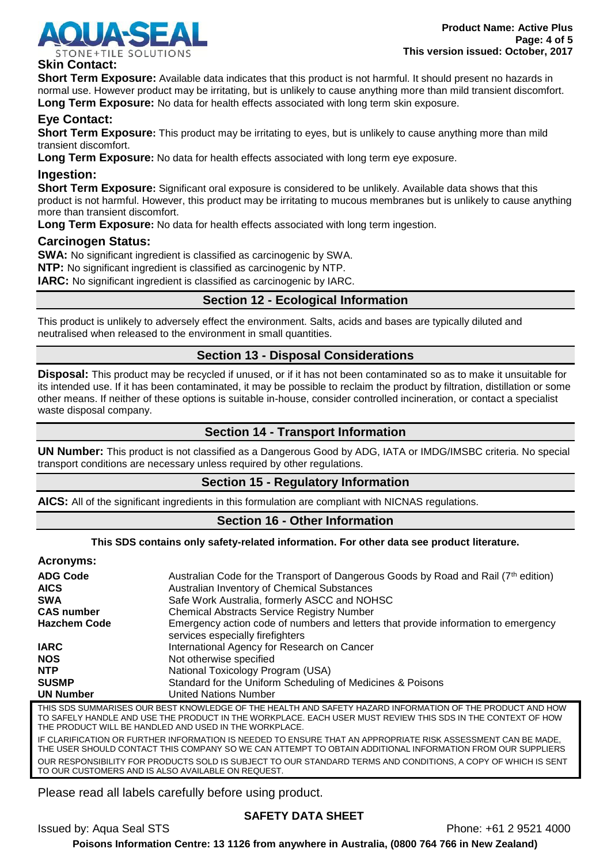

## **Skin Contact:**

**Short Term Exposure:** Available data indicates that this product is not harmful. It should present no hazards in normal use. However product may be irritating, but is unlikely to cause anything more than mild transient discomfort. **Long Term Exposure:** No data for health effects associated with long term skin exposure.

## **Eye Contact:**

**Short Term Exposure:** This product may be irritating to eyes, but is unlikely to cause anything more than mild transient discomfort.

**Long Term Exposure:** No data for health effects associated with long term eye exposure.

#### **Ingestion:**

**Short Term Exposure:** Significant oral exposure is considered to be unlikely. Available data shows that this product is not harmful. However, this product may be irritating to mucous membranes but is unlikely to cause anything more than transient discomfort.

**Long Term Exposure:** No data for health effects associated with long term ingestion.

## **Carcinogen Status:**

**SWA:** No significant ingredient is classified as carcinogenic by SWA.

**NTP:** No significant ingredient is classified as carcinogenic by NTP.

**IARC:** No significant ingredient is classified as carcinogenic by IARC.

## **Section 12 - Ecological Information**

This product is unlikely to adversely effect the environment. Salts, acids and bases are typically diluted and neutralised when released to the environment in small quantities.

## **Section 13 - Disposal Considerations**

**Disposal:** This product may be recycled if unused, or if it has not been contaminated so as to make it unsuitable for its intended use. If it has been contaminated, it may be possible to reclaim the product by filtration, distillation or some other means. If neither of these options is suitable in-house, consider controlled incineration, or contact a specialist waste disposal company.

## **Section 14 - Transport Information**

**UN Number:** This product is not classified as a Dangerous Good by ADG, IATA or IMDG/IMSBC criteria. No special transport conditions are necessary unless required by other regulations.

## **Section 15 - Regulatory Information**

**AICS:** All of the significant ingredients in this formulation are compliant with NICNAS regulations.

#### **Section 16 - Other Information**

#### **This SDS contains only safety-related information. For other data see product literature.**

#### **Acronyms:**

| <b>ADG Code</b><br><b>AICS</b> | Australian Code for the Transport of Dangerous Goods by Road and Rail (7 <sup>th</sup> edition)<br>Australian Inventory of Chemical Substances |
|--------------------------------|------------------------------------------------------------------------------------------------------------------------------------------------|
| <b>SWA</b>                     | Safe Work Australia, formerly ASCC and NOHSC                                                                                                   |
| <b>CAS number</b>              | <b>Chemical Abstracts Service Registry Number</b>                                                                                              |
| <b>Hazchem Code</b>            | Emergency action code of numbers and letters that provide information to emergency<br>services especially firefighters                         |
| <b>IARC</b>                    | International Agency for Research on Cancer                                                                                                    |
| <b>NOS</b>                     | Not otherwise specified                                                                                                                        |
| <b>NTP</b>                     | National Toxicology Program (USA)                                                                                                              |
| <b>SUSMP</b>                   | Standard for the Uniform Scheduling of Medicines & Poisons                                                                                     |
| <b>UN Number</b>               | United Nations Number                                                                                                                          |
|                                | THIS SDS SUMMARISES OUR BEST KNOWLEDGE OF THE HEALTH AND SAFETY HAZARD INFORMATION OF THE PRODUCT AND HOW                                      |

TO SAFELY HANDLE AND USE THE PRODUCT IN THE WORKPLACE. EACH USER MUST REVIEW THIS SDS IN THE CONTEXT OF HOW THE PRODUCT WILL BE HANDLED AND USED IN THE WORKPLACE.

IF CLARIFICATION OR FURTHER INFORMATION IS NEEDED TO ENSURE THAT AN APPROPRIATE RISK ASSESSMENT CAN BE MADE, THE USER SHOULD CONTACT THIS COMPANY SO WE CAN ATTEMPT TO OBTAIN ADDITIONAL INFORMATION FROM OUR SUPPLIERS OUR RESPONSIBILITY FOR PRODUCTS SOLD IS SUBJECT TO OUR STANDARD TERMS AND CONDITIONS, A COPY OF WHICH IS SENT TO OUR CUSTOMERS AND IS ALSO AVAILABLE ON REQUEST.

Please read all labels carefully before using product.

## **SAFETY DATA SHEET**

Issued by: Aqua Seal STS Phone: +61 2 9521 4000

**Poisons Information Centre: 13 1126 from anywhere in Australia, (0800 764 766 in New Zealand)**